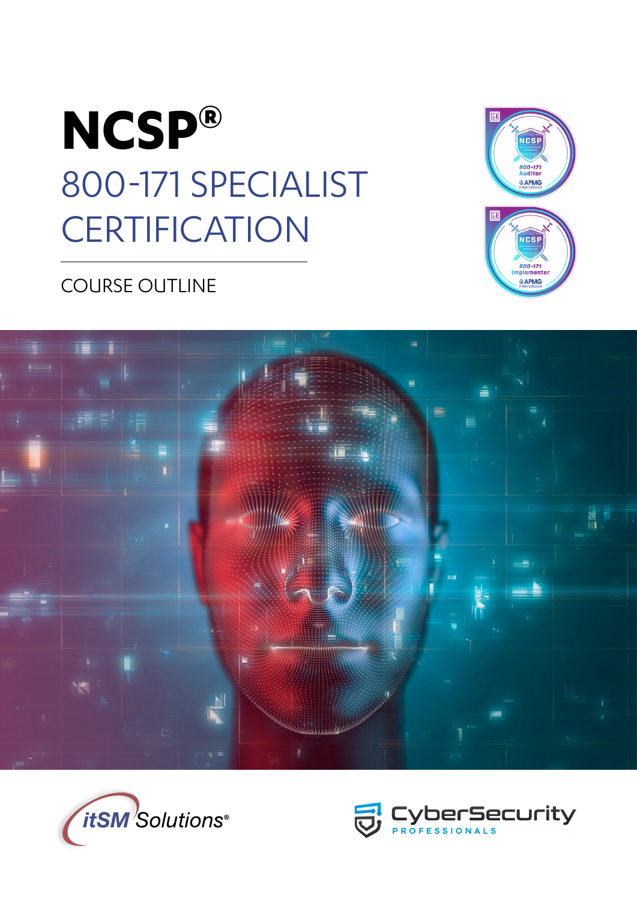



## COURSE OUTLINE





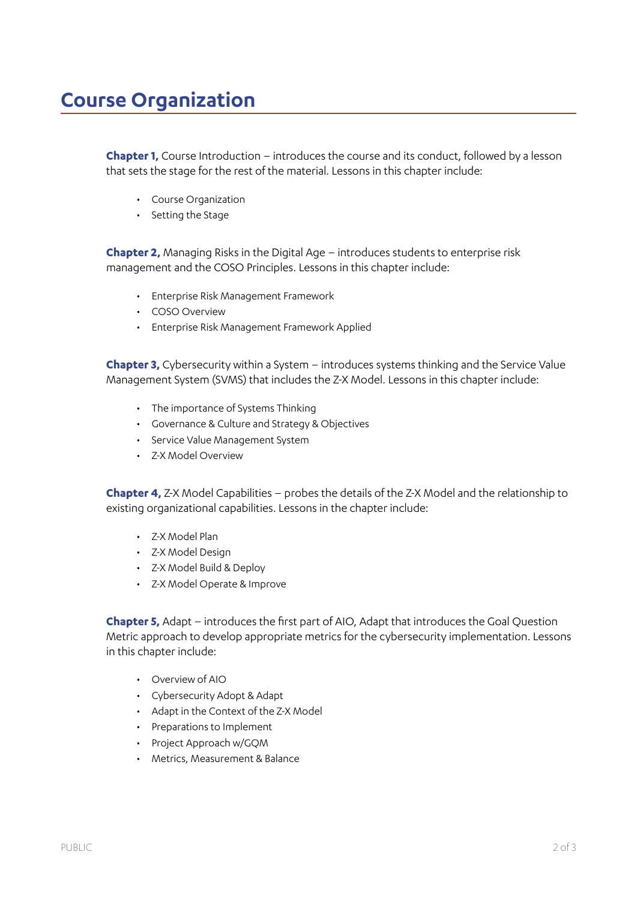## **Course Organization**

**Chapter 1,** Course Introduction – introduces the course and its conduct, followed by a lesson that sets the stage for the rest of the material. Lessons in this chapter include:

- Course Organization
- Setting the Stage

**Chapter 2,** Managing Risks in the Digital Age – introduces students to enterprise risk management and the COSO Principles. Lessons in this chapter include:

- Enterprise Risk Management Framework
- COSO Overview
- Enterprise Risk Management Framework Applied

**Chapter 3,** Cybersecurity within a System – introduces systems thinking and the Service Value Management System (SVMS) that includes the Z-X Model. Lessons in this chapter include:

- The importance of Systems Thinking
- Governance & Culture and Strategy & Objectives
- Service Value Management System
- Z-X Model Overview

**Chapter 4,** Z-X Model Capabilities – probes the details of the Z-X Model and the relationship to existing organizational capabilities. Lessons in the chapter include:

- Z-X Model Plan
- Z-X Model Design
- Z-X Model Build & Deploy
- Z-X Model Operate & Improve

**Chapter 5,** Adapt – introduces the first part of AIO, Adapt that introduces the Goal Question Metric approach to develop appropriate metrics for the cybersecurity implementation. Lessons in this chapter include:

- Overview of AIO
- Cybersecurity Adopt & Adapt
- Adapt in the Context of the Z-X Model
- Preparations to Implement
- Project Approach w/GQM
- Metrics, Measurement & Balance